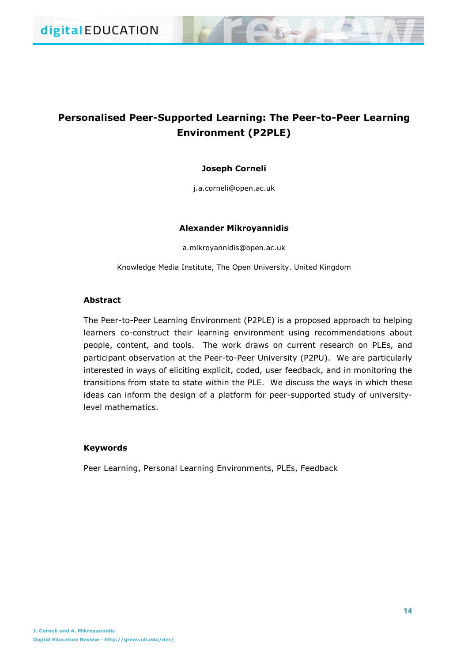# **Personalised Peer-Supported Learning: The Peer-to-Peer Learning Environment (P2PLE)**

# **Joseph Corneli**

j.a.corneli@open.ac.uk

## **Alexander Mikroyannidis**

a.mikroyannidis@open.ac.uk

Knowledge Media Institute, The Open University. United Kingdom

## **Abstract**

The Peer-to-Peer Learning Environment (P2PLE) is a proposed approach to helping learners co-construct their learning environment using recommendations about people, content, and tools. The work draws on current research on PLEs, and participant observation at the Peer-to-Peer University (P2PU). We are particularly interested in ways of eliciting explicit, coded, user feedback, and in monitoring the transitions from state to state within the PLE. We discuss the ways in which these ideas can inform the design of a platform for peer-supported study of universitylevel mathematics.

## **Keywords**

Peer Learning, Personal Learning Environments, PLEs, Feedback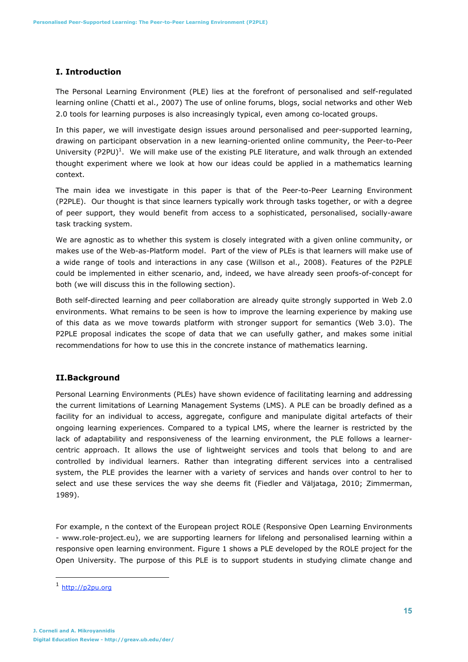## **I. Introduction**

The Personal Learning Environment (PLE) lies at the forefront of personalised and self-regulated learning online (Chatti et al., 2007) The use of online forums, blogs, social networks and other Web 2.0 tools for learning purposes is also increasingly typical, even among co-located groups.

In this paper, we will investigate design issues around personalised and peer-supported learning, drawing on participant observation in a new learning-oriented online community, the Peer-to-Peer University (P2PU)<sup>1</sup>. We will make use of the existing PLE literature, and walk through an extended thought experiment where we look at how our ideas could be applied in a mathematics learning context.

The main idea we investigate in this paper is that of the Peer-to-Peer Learning Environment (P2PLE). Our thought is that since learners typically work through tasks together, or with a degree of peer support, they would benefit from access to a sophisticated, personalised, socially-aware task tracking system.

We are agnostic as to whether this system is closely integrated with a given online community, or makes use of the Web-as-Platform model. Part of the view of PLEs is that learners will make use of a wide range of tools and interactions in any case (Willson et al., 2008). Features of the P2PLE could be implemented in either scenario, and, indeed, we have already seen proofs-of-concept for both (we will discuss this in the following section).

Both self-directed learning and peer collaboration are already quite strongly supported in Web 2.0 environments. What remains to be seen is how to improve the learning experience by making use of this data as we move towards platform with stronger support for semantics (Web 3.0). The P2PLE proposal indicates the scope of data that we can usefully gather, and makes some initial recommendations for how to use this in the concrete instance of mathematics learning.

## **II.Background**

Personal Learning Environments (PLEs) have shown evidence of facilitating learning and addressing the current limitations of Learning Management Systems (LMS). A PLE can be broadly defined as a facility for an individual to access, aggregate, configure and manipulate digital artefacts of their ongoing learning experiences. Compared to a typical LMS, where the learner is restricted by the lack of adaptability and responsiveness of the learning environment, the PLE follows a learnercentric approach. It allows the use of lightweight services and tools that belong to and are controlled by individual learners. Rather than integrating different services into a centralised system, the PLE provides the learner with a variety of services and hands over control to her to select and use these services the way she deems fit (Fiedler and Väljataga, 2010; Zimmerman, 1989).

For example, n the context of the European project ROLE (Responsive Open Learning Environments - www.role-project.eu), we are supporting learners for lifelong and personalised learning within a responsive open learning environment. Figure 1 shows a PLE developed by the ROLE project for the Open University. The purpose of this PLE is to support students in studying climate change and

<sup>1</sup> http://p2pu.org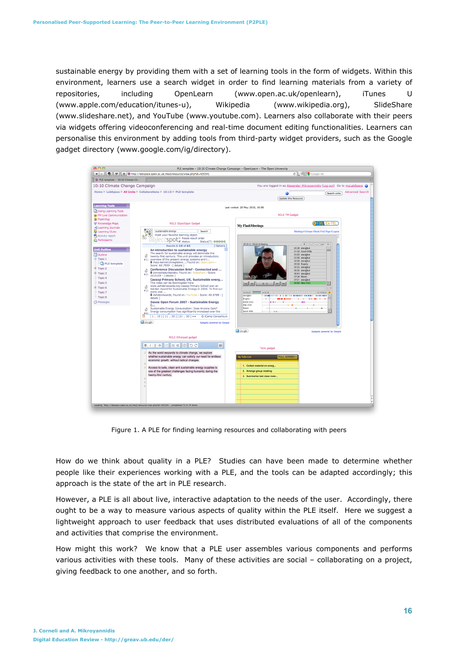sustainable energy by providing them with a set of learning tools in the form of widgets. Within this environment, learners use a search widget in order to find learning materials from a variety of repositories, including OpenLearn (www.open.ac.uk/openlearn), iTunes U (www.apple.com/education/itunes-u), Wikipedia (www.wikipedia.org), SlideShare (www.slideshare.net), and YouTube (www.youtube.com). Learners also collaborate with their peers via widgets offering videoconferencing and real-time document editing functionalities. Learners can personalise this environment by adding tools from third-party widget providers, such as the Google gadget directory (www.google.com/ig/directory).

| AA                                                                                                                                                                                                  |                                                                                                                                                                                                                                                                                                                                                                                                                                                                                                                                                                                                                                                                                                                                                                                                                                                                                                                                                                                                                                                                                                         | PLE template - 10:10 Climate Change Campaign - OpenLearn - The Open University                                                                                                                                                                                                                                                                                                                                                                                                 |
|-----------------------------------------------------------------------------------------------------------------------------------------------------------------------------------------------------|---------------------------------------------------------------------------------------------------------------------------------------------------------------------------------------------------------------------------------------------------------------------------------------------------------------------------------------------------------------------------------------------------------------------------------------------------------------------------------------------------------------------------------------------------------------------------------------------------------------------------------------------------------------------------------------------------------------------------------------------------------------------------------------------------------------------------------------------------------------------------------------------------------------------------------------------------------------------------------------------------------------------------------------------------------------------------------------------------------|--------------------------------------------------------------------------------------------------------------------------------------------------------------------------------------------------------------------------------------------------------------------------------------------------------------------------------------------------------------------------------------------------------------------------------------------------------------------------------|
| 傓<br>1P                                                                                                                                                                                             | http://labspace.open.ac.uk/mod/resource/view.php?id=420341                                                                                                                                                                                                                                                                                                                                                                                                                                                                                                                                                                                                                                                                                                                                                                                                                                                                                                                                                                                                                                              | C C Google UK                                                                                                                                                                                                                                                                                                                                                                                                                                                                  |
| PLE template - 10:10 Climate Ch.                                                                                                                                                                    |                                                                                                                                                                                                                                                                                                                                                                                                                                                                                                                                                                                                                                                                                                                                                                                                                                                                                                                                                                                                                                                                                                         |                                                                                                                                                                                                                                                                                                                                                                                                                                                                                |
| 10:10 Climate Change Campaign                                                                                                                                                                       |                                                                                                                                                                                                                                                                                                                                                                                                                                                                                                                                                                                                                                                                                                                                                                                                                                                                                                                                                                                                                                                                                                         | You are logged in as Alexander Mikroyannidis (Log out) Go to myLabSpace                                                                                                                                                                                                                                                                                                                                                                                                        |
|                                                                                                                                                                                                     | Home ▶ LabSpace ▶ All Units ▶ Collaborations ▶ 10:10 ▶ PLE template                                                                                                                                                                                                                                                                                                                                                                                                                                                                                                                                                                                                                                                                                                                                                                                                                                                                                                                                                                                                                                     | <b>Advanced Search</b><br>Ø<br>Search units<br><b>Update this Resource</b>                                                                                                                                                                                                                                                                                                                                                                                                     |
| <b>Learning Tools</b><br>La Using Learning Tools<br><b>C</b> FM Live Communication                                                                                                                  |                                                                                                                                                                                                                                                                                                                                                                                                                                                                                                                                                                                                                                                                                                                                                                                                                                                                                                                                                                                                                                                                                                         | Last visited: 20 May 2010, 16:06<br><b>ROLE FM Gadget</b>                                                                                                                                                                                                                                                                                                                                                                                                                      |
| <b>B</b> FlashVlog<br><b>▼ Knowledge Maps</b>                                                                                                                                                       | <b>ROLE ObjectSpot Gadget</b>                                                                                                                                                                                                                                                                                                                                                                                                                                                                                                                                                                                                                                                                                                                                                                                                                                                                                                                                                                                                                                                                           | <b>BEM EA-TEL</b><br><b>My FlashMeetings</b>                                                                                                                                                                                                                                                                                                                                                                                                                                   |
| > Learning Journals<br><b>B</b> Learning Clubs<br>Activity report<br>Participants                                                                                                                   | sustainable energy<br>Search<br>meet your favorite learning object.<br>O freeze result order<br><b>SDO</b><br>$L_{\mathscr{G}}$ status<br>Status(?): 00000                                                                                                                                                                                                                                                                                                                                                                                                                                                                                                                                                                                                                                                                                                                                                                                                                                                                                                                                              | Meetings   Groups   Book   Full Page   Logout                                                                                                                                                                                                                                                                                                                                                                                                                                  |
| <b>Unit Outline</b><br><b>ED</b> Outline<br><b><sup>∈</sup> Topic 1</b><br>PLE template<br>F Topic 2<br>E Topic 3<br>Topic 4<br>Topic 5<br>E Topic 6<br>Topic 7<br>$-$ Topic 8<br><b>A</b> Messages | Results 1-10 of 42<br>[ Options ]<br>An introduction to sustainable energy<br>The search for sustainable energy will dominate the<br>đ<br>twenty-first century. This unit provides an introductory<br>#1: overview of the present energy systems and t<br># #acs-kernel.Unregistere; Found on: OpenLearn -<br>Score: 60.7959 - [ details ]<br>Conference Discussion Brief - Connected and<br>đ<br>connectedurbandev; Found on: Slideshare - Score:<br>#2: 50.0169 - [ details ]<br>Cassop Primary School, UK, Sustainable energ<br>This video can be downloaded here:<br>www.ashdenawards.org Cassop Primary School won an<br>බී<br>Ashden Award for Sustainable Energy in 2006. To find out<br>#3:<br>more visit<br>4 AshdenAwards; Found on: YouTube - Score: 48.9788 - [<br>details 1<br>Davos Open Forum 2007 - Sustainable Energy<br><b>C</b><br>Sustainable Energy Consumption: Does Anyone Care?<br>đ<br>Energy consumption has significantly increased over the<br>#4:<br>$\overline{\mathbf{z}}$<br>$[110][1120][2130]$ **<br>C iCamp Consortium<br><b>Google</b><br>Gadgets powered by Google | 25-05-10 ROLE UI Meeting<br>$4 \times 10$<br>y aw<br>list<br>00:38 stengkul<br>01:00 Sarah Wills<br>03:25 sten@kul<br>03:56 sten@kul<br>04:28 sten@kul<br>05:00 Evgeny<br>05:23 sten@kul<br>06:20 stengkul<br>06:43 sten@kul<br>Alex (OU)<br>07:04 Maren<br>07:21 sten@kul<br>09:20 Alex (OU<br>$\overline{\mathbb{F}}$<br>$00.0822$ $400.38$<br>sten@kul<br>Evgeny<br>daniel (imc)<br><b>Harry</b><br>Alex (OU)<br>Maren<br>$\overline{\mathbf v}$<br>Sarah Wills<br>$1 - 11$ |
|                                                                                                                                                                                                     |                                                                                                                                                                                                                                                                                                                                                                                                                                                                                                                                                                                                                                                                                                                                                                                                                                                                                                                                                                                                                                                                                                         | <b>Ca</b> Google<br>Gadgets powered by Google                                                                                                                                                                                                                                                                                                                                                                                                                                  |
|                                                                                                                                                                                                     | <b>ROLE Etherpad gadget</b><br><b>BIUSEEGOOC</b><br>眉<br>As the world responds to climate change, we explore<br>whether sustainable energy can satisfy our need for endless<br>economic growth, without radical changes.<br>$\overline{2}$<br>Access to safe, clean and sustainable energy supplies is<br>one of the greatest challenges facing humanity during the<br>twenty-first century.<br>Loading "http://labspace.open.ac.uk/mod/resource/view.php?id=420341", completed 73 of 74 items.                                                                                                                                                                                                                                                                                                                                                                                                                                                                                                                                                                                                         | <b>ToDo gadget</b><br>My ToDo List<br><b>FULL SCREEN</b><br>1. Collect material on energ<br>2. Arrange group meeting<br>3. Summarise last class meet                                                                                                                                                                                                                                                                                                                           |

Figure 1. A PLE for finding learning resources and collaborating with peers

How do we think about quality in a PLE? Studies can have been made to determine whether people like their experiences working with a PLE, and the tools can be adapted accordingly; this approach is the state of the art in PLE research.

However, a PLE is all about live, interactive adaptation to the needs of the user. Accordingly, there ought to be a way to measure various aspects of quality within the PLE itself. Here we suggest a lightweight approach to user feedback that uses distributed evaluations of all of the components and activities that comprise the environment.

How might this work? We know that a PLE user assembles various components and performs various activities with these tools. Many of these activities are social – collaborating on a project, giving feedback to one another, and so forth.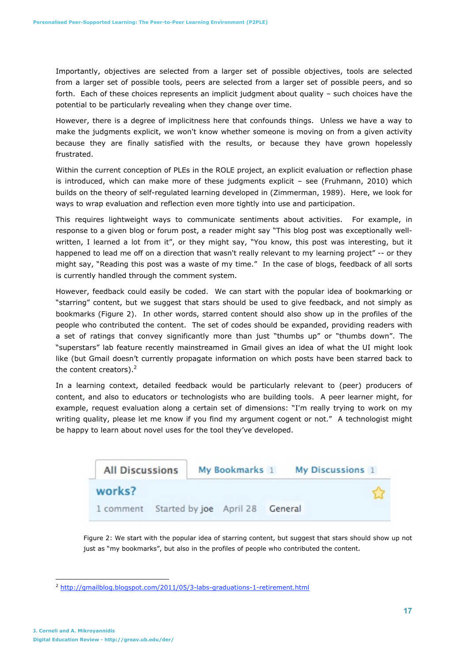Importantly, objectives are selected from a larger set of possible objectives, tools are selected from a larger set of possible tools, peers are selected from a larger set of possible peers, and so forth. Each of these choices represents an implicit judgment about quality – such choices have the potential to be particularly revealing when they change over time.

However, there is a degree of implicitness here that confounds things. Unless we have a way to make the judgments explicit, we won't know whether someone is moving on from a given activity because they are finally satisfied with the results, or because they have grown hopelessly frustrated.

Within the current conception of PLEs in the ROLE project, an explicit evaluation or reflection phase is introduced, which can make more of these judgments explicit – see (Fruhmann, 2010) which builds on the theory of self-regulated learning developed in (Zimmerman, 1989). Here, we look for ways to wrap evaluation and reflection even more tightly into use and participation.

This requires lightweight ways to communicate sentiments about activities. For example, in response to a given blog or forum post, a reader might say "This blog post was exceptionally wellwritten, I learned a lot from it", or they might say, "You know, this post was interesting, but it happened to lead me off on a direction that wasn't really relevant to my learning project" -- or they might say, "Reading this post was a waste of my time." In the case of blogs, feedback of all sorts is currently handled through the comment system.

However, feedback could easily be coded. We can start with the popular idea of bookmarking or "starring" content, but we suggest that stars should be used to give feedback, and not simply as bookmarks (Figure 2). In other words, starred content should also show up in the profiles of the people who contributed the content. The set of codes should be expanded, providing readers with a set of ratings that convey significantly more than just "thumbs up" or "thumbs down". The "superstars" lab feature recently mainstreamed in Gmail gives an idea of what the UI might look like (but Gmail doesn't currently propagate information on which posts have been starred back to the content creators).<sup>2</sup>

In a learning context, detailed feedback would be particularly relevant to (peer) producers of content, and also to educators or technologists who are building tools. A peer learner might, for example, request evaluation along a certain set of dimensions: "I'm really trying to work on my writing quality, please let me know if you find my argument cogent or not." A technologist might be happy to learn about novel uses for the tool they've developed.



Figure 2: We start with the popular idea of starring content, but suggest that stars should show up not just as "my bookmarks", but also in the profiles of people who contributed the content*.*

<sup>2</sup> http://gmailblog.blogspot.com/2011/05/3-labs-graduations-1-retirement.html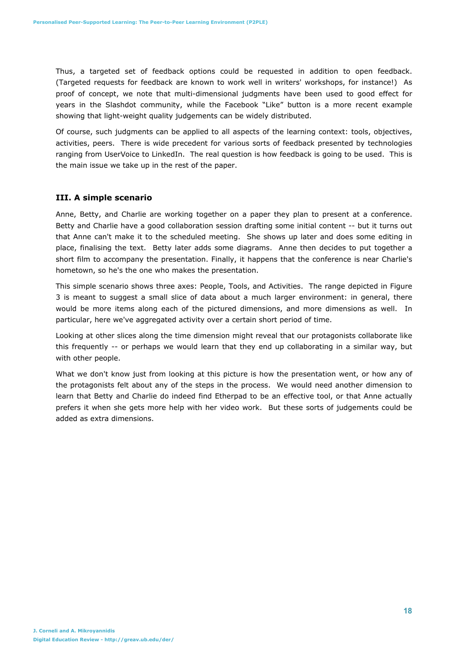Thus, a targeted set of feedback options could be requested in addition to open feedback. (Targeted requests for feedback are known to work well in writers' workshops, for instance!) As proof of concept, we note that multi-dimensional judgments have been used to good effect for years in the Slashdot community, while the Facebook "Like" button is a more recent example showing that light-weight quality judgements can be widely distributed.

Of course, such judgments can be applied to all aspects of the learning context: tools, objectives, activities, peers. There is wide precedent for various sorts of feedback presented by technologies ranging from UserVoice to LinkedIn. The real question is how feedback is going to be used. This is the main issue we take up in the rest of the paper.

# **III. A simple scenario**

Anne, Betty, and Charlie are working together on a paper they plan to present at a conference. Betty and Charlie have a good collaboration session drafting some initial content -- but it turns out that Anne can't make it to the scheduled meeting. She shows up later and does some editing in place, finalising the text. Betty later adds some diagrams. Anne then decides to put together a short film to accompany the presentation. Finally, it happens that the conference is near Charlie's hometown, so he's the one who makes the presentation.

This simple scenario shows three axes: People, Tools, and Activities. The range depicted in Figure 3 is meant to suggest a small slice of data about a much larger environment: in general, there would be more items along each of the pictured dimensions, and more dimensions as well. In particular, here we've aggregated activity over a certain short period of time.

Looking at other slices along the time dimension might reveal that our protagonists collaborate like this frequently -- or perhaps we would learn that they end up collaborating in a similar way, but with other people.

What we don't know just from looking at this picture is how the presentation went, or how any of the protagonists felt about any of the steps in the process. We would need another dimension to learn that Betty and Charlie do indeed find Etherpad to be an effective tool, or that Anne actually prefers it when she gets more help with her video work. But these sorts of judgements could be added as extra dimensions.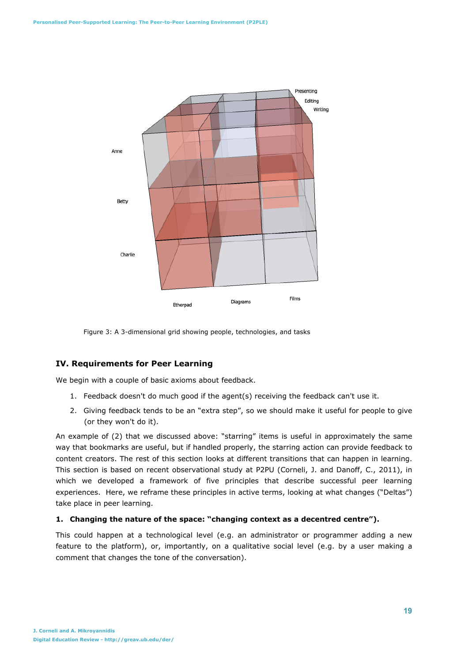

Figure 3: A 3-dimensional grid showing people, technologies, and tasks

## **IV. Requirements for Peer Learning**

We begin with a couple of basic axioms about feedback.

- 1. Feedback doesn't do much good if the agent(s) receiving the feedback can't use it.
- 2. Giving feedback tends to be an "extra step", so we should make it useful for people to give (or they won't do it).

An example of (2) that we discussed above: "starring" items is useful in approximately the same way that bookmarks are useful, but if handled properly, the starring action can provide feedback to content creators. The rest of this section looks at different transitions that can happen in learning. This section is based on recent observational study at P2PU (Corneli, J. and Danoff, C., 2011), in which we developed a framework of five principles that describe successful peer learning experiences. Here, we reframe these principles in active terms, looking at what changes ("Deltas") take place in peer learning.

#### **1. Changing the nature of the space: "changing context as a decentred centre").**

This could happen at a technological level (e.g. an administrator or programmer adding a new feature to the platform), or, importantly, on a qualitative social level (e.g. by a user making a comment that changes the tone of the conversation).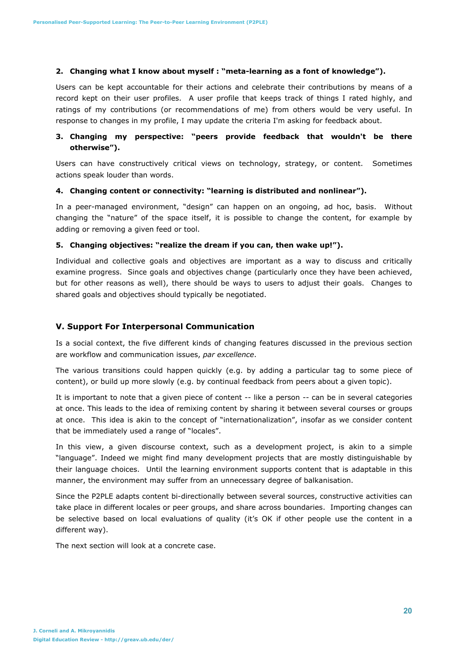#### **2. Changing what I know about myself : "meta-learning as a font of knowledge").**

Users can be kept accountable for their actions and celebrate their contributions by means of a record kept on their user profiles. A user profile that keeps track of things I rated highly, and ratings of my contributions (or recommendations of me) from others would be very useful. In response to changes in my profile, I may update the criteria I'm asking for feedback about.

# **3. Changing my perspective: "peers provide feedback that wouldn't be there otherwise").**

Users can have constructively critical views on technology, strategy, or content. Sometimes actions speak louder than words.

#### **4. Changing content or connectivity: "learning is distributed and nonlinear").**

In a peer-managed environment, "design" can happen on an ongoing, ad hoc, basis. Without changing the "nature" of the space itself, it is possible to change the content, for example by adding or removing a given feed or tool.

## **5. Changing objectives: "realize the dream if you can, then wake up!").**

Individual and collective goals and objectives are important as a way to discuss and critically examine progress. Since goals and objectives change (particularly once they have been achieved, but for other reasons as well), there should be ways to users to adjust their goals. Changes to shared goals and objectives should typically be negotiated.

## **V. Support For Interpersonal Communication**

Is a social context, the five different kinds of changing features discussed in the previous section are workflow and communication issues, *par excellence*.

The various transitions could happen quickly (e.g. by adding a particular tag to some piece of content), or build up more slowly (e.g. by continual feedback from peers about a given topic).

It is important to note that a given piece of content -- like a person -- can be in several categories at once. This leads to the idea of remixing content by sharing it between several courses or groups at once. This idea is akin to the concept of "internationalization", insofar as we consider content that be immediately used a range of "locales".

In this view, a given discourse context, such as a development project, is akin to a simple "language". Indeed we might find many development projects that are mostly distinguishable by their language choices. Until the learning environment supports content that is adaptable in this manner, the environment may suffer from an unnecessary degree of balkanisation.

Since the P2PLE adapts content bi-directionally between several sources, constructive activities can take place in different locales or peer groups, and share across boundaries. Importing changes can be selective based on local evaluations of quality (it's OK if other people use the content in a different way).

The next section will look at a concrete case.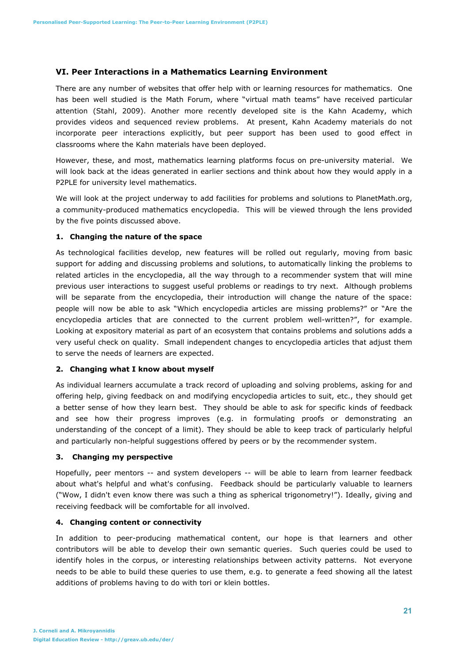## **VI. Peer Interactions in a Mathematics Learning Environment**

There are any number of websites that offer help with or learning resources for mathematics. One has been well studied is the Math Forum, where "virtual math teams" have received particular attention (Stahl, 2009). Another more recently developed site is the Kahn Academy, which provides videos and sequenced review problems. At present, Kahn Academy materials do not incorporate peer interactions explicitly, but peer support has been used to good effect in classrooms where the Kahn materials have been deployed.

However, these, and most, mathematics learning platforms focus on pre-university material. We will look back at the ideas generated in earlier sections and think about how they would apply in a P2PLE for university level mathematics.

We will look at the project underway to add facilities for problems and solutions to PlanetMath.org, a community-produced mathematics encyclopedia. This will be viewed through the lens provided by the five points discussed above.

## **1. Changing the nature of the space**

As technological facilities develop, new features will be rolled out regularly, moving from basic support for adding and discussing problems and solutions, to automatically linking the problems to related articles in the encyclopedia, all the way through to a recommender system that will mine previous user interactions to suggest useful problems or readings to try next. Although problems will be separate from the encyclopedia, their introduction will change the nature of the space: people will now be able to ask "Which encyclopedia articles are missing problems?" or "Are the encyclopedia articles that are connected to the current problem well-written?", for example. Looking at expository material as part of an ecosystem that contains problems and solutions adds a very useful check on quality. Small independent changes to encyclopedia articles that adjust them to serve the needs of learners are expected.

#### **2. Changing what I know about myself**

As individual learners accumulate a track record of uploading and solving problems, asking for and offering help, giving feedback on and modifying encyclopedia articles to suit, etc., they should get a better sense of how they learn best. They should be able to ask for specific kinds of feedback and see how their progress improves (e.g. in formulating proofs or demonstrating an understanding of the concept of a limit). They should be able to keep track of particularly helpful and particularly non-helpful suggestions offered by peers or by the recommender system.

## **3. Changing my perspective**

Hopefully, peer mentors -- and system developers -- will be able to learn from learner feedback about what's helpful and what's confusing. Feedback should be particularly valuable to learners ("Wow, I didn't even know there was such a thing as spherical trigonometry!"). Ideally, giving and receiving feedback will be comfortable for all involved.

#### **4. Changing content or connectivity**

In addition to peer-producing mathematical content, our hope is that learners and other contributors will be able to develop their own semantic queries. Such queries could be used to identify holes in the corpus, or interesting relationships between activity patterns. Not everyone needs to be able to build these queries to use them, e.g. to generate a feed showing all the latest additions of problems having to do with tori or klein bottles.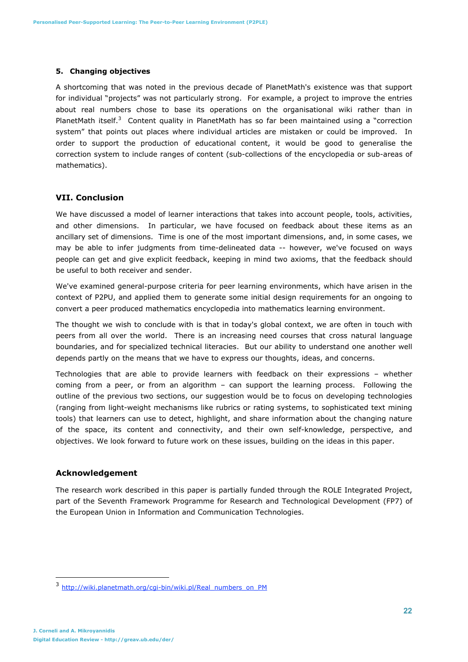#### **5. Changing objectives**

A shortcoming that was noted in the previous decade of PlanetMath's existence was that support for individual "projects" was not particularly strong. For example, a project to improve the entries about real numbers chose to base its operations on the organisational wiki rather than in PlanetMath itself.<sup>3</sup> Content quality in PlanetMath has so far been maintained using a "correction system" that points out places where individual articles are mistaken or could be improved. In order to support the production of educational content, it would be good to generalise the correction system to include ranges of content (sub-collections of the encyclopedia or sub-areas of mathematics).

## **VII. Conclusion**

We have discussed a model of learner interactions that takes into account people, tools, activities, and other dimensions. In particular, we have focused on feedback about these items as an ancillary set of dimensions. Time is one of the most important dimensions, and, in some cases, we may be able to infer judgments from time-delineated data -- however, we've focused on ways people can get and give explicit feedback, keeping in mind two axioms, that the feedback should be useful to both receiver and sender.

We've examined general-purpose criteria for peer learning environments, which have arisen in the context of P2PU, and applied them to generate some initial design requirements for an ongoing to convert a peer produced mathematics encyclopedia into mathematics learning environment.

The thought we wish to conclude with is that in today's global context, we are often in touch with peers from all over the world. There is an increasing need courses that cross natural language boundaries, and for specialized technical literacies. But our ability to understand one another well depends partly on the means that we have to express our thoughts, ideas, and concerns.

Technologies that are able to provide learners with feedback on their expressions – whether coming from a peer, or from an algorithm – can support the learning process. Following the outline of the previous two sections, our suggestion would be to focus on developing technologies (ranging from light-weight mechanisms like rubrics or rating systems, to sophisticated text mining tools) that learners can use to detect, highlight, and share information about the changing nature of the space, its content and connectivity, and their own self-knowledge, perspective, and objectives. We look forward to future work on these issues, building on the ideas in this paper.

#### **Acknowledgement**

The research work described in this paper is partially funded through the ROLE Integrated Project, part of the Seventh Framework Programme for Research and Technological Development (FP7) of the European Union in Information and Communication Technologies.

<sup>3</sup> http://wiki.planetmath.org/cgi-bin/wiki.pl/Real\_numbers\_on\_PM